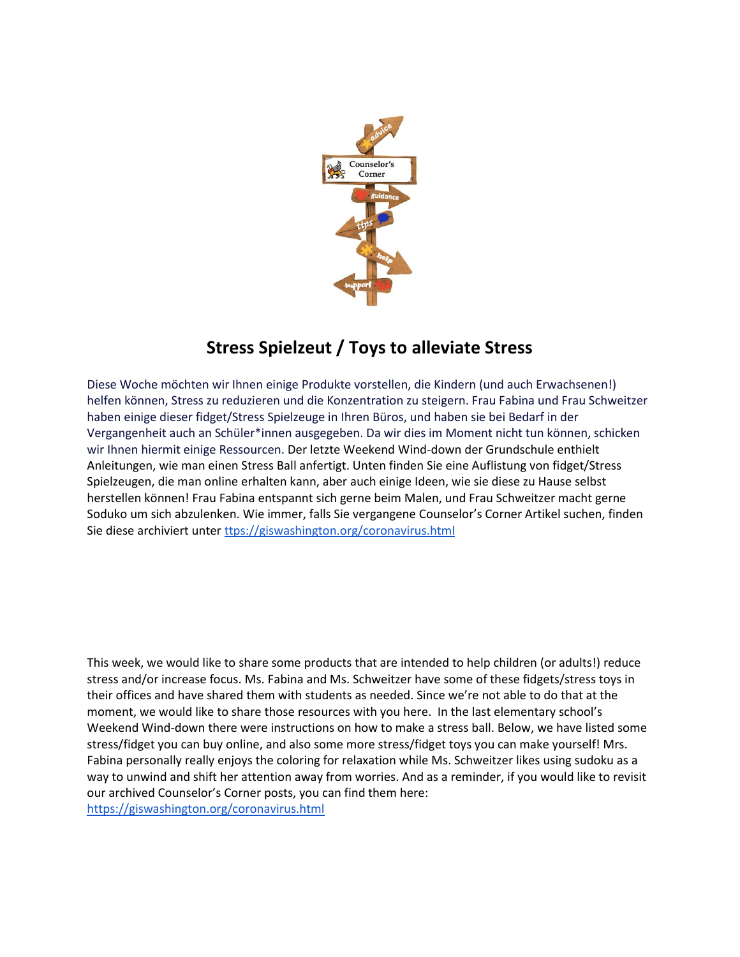

## **Stress Spielzeut / Toys to alleviate Stress**

Diese Woche möchten wir Ihnen einige Produkte vorstellen, die Kindern (und auch Erwachsenen!) helfen können, Stress zu reduzieren und die Konzentration zu steigern. Frau Fabina und Frau Schweitzer haben einige dieser fidget/Stress Spielzeuge in Ihren Büros, und haben sie bei Bedarf in der Vergangenheit auch an Schüler\*innen ausgegeben. Da wir dies im Moment nicht tun können, schicken wir Ihnen hiermit einige Ressourcen. Der letzte Weekend Wind-down der Grundschule enthielt Anleitungen, wie man einen Stress Ball anfertigt. Unten finden Sie eine Auflistung von fidget/Stress Spielzeugen, die man online erhalten kann, aber auch einige Ideen, wie sie diese zu Hause selbst herstellen können! Frau Fabina entspannt sich gerne beim Malen, und Frau Schweitzer macht gerne Soduko um sich abzulenken. Wie immer, falls Sie vergangene Counselor's Corner Artikel suchen, finden Sie diese archiviert unte[r ttps://giswashington.org/coronavirus.html](https://giswashington.org/coronavirus.html)

This week, we would like to share some products that are intended to help children (or adults!) reduce stress and/or increase focus. Ms. Fabina and Ms. Schweitzer have some of these fidgets/stress toys in their offices and have shared them with students as needed. Since we're not able to do that at the moment, we would like to share those resources with you here. In the last elementary school's Weekend Wind-down there were instructions on how to make a stress ball. Below, we have listed some stress/fidget you can buy online, and also some more stress/fidget toys you can make yourself! Mrs. Fabina personally really enjoys the coloring for relaxation while Ms. Schweitzer likes using sudoku as a way to unwind and shift her attention away from worries. And as a reminder, if you would like to revisit our archived Counselor's Corner posts, you can find them here: <https://giswashington.org/coronavirus.html>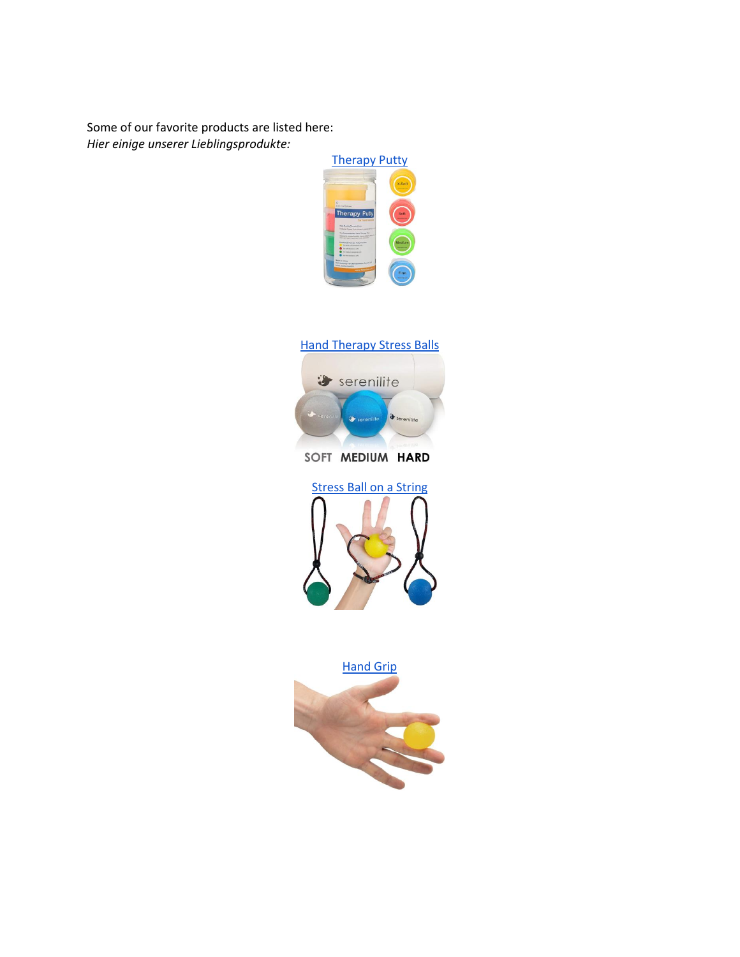Some of our favorite products are listed here: *Hier einige unserer Lieblingsprodukte:*







SOFT MEDIUM HARD



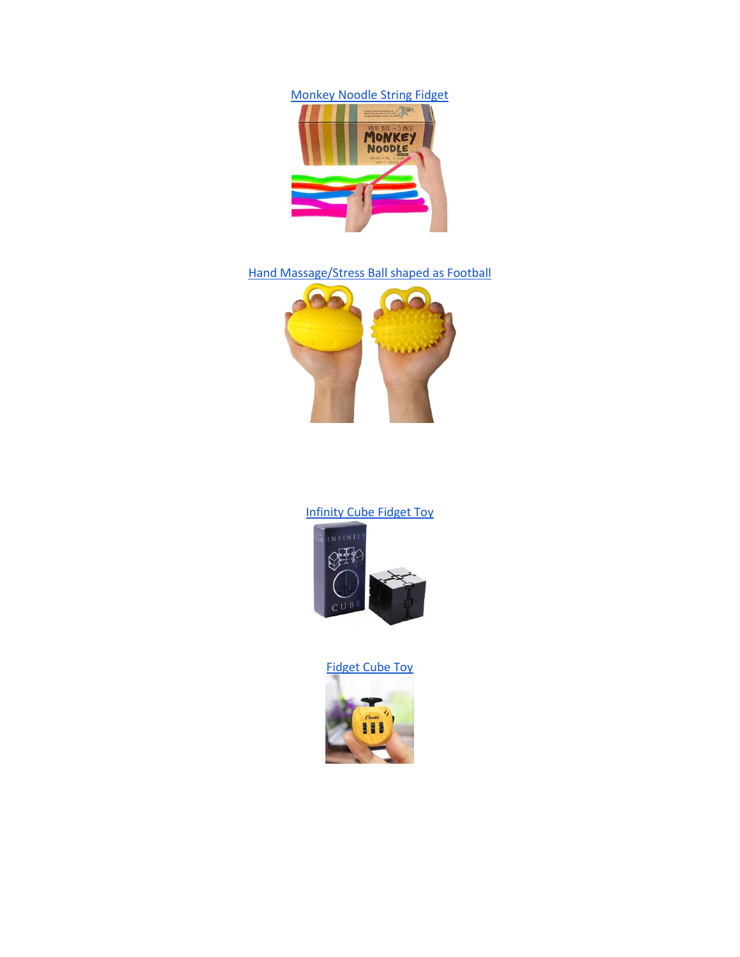[Monkey Noodle String Fidget](https://www.amazon.com/Impresa-Products-Stretchy-Phthalate-Latex-Free/dp/B01LBSZQ3U/ref=sr_1_1?dchild=1&keywords=impresa+monkey+noodle&qid=1590756105&sr=8-1)



[Hand Massage/Stress Ball shaped as Football](https://www.amazon.com/Vansun-Exerciser-Physical-Therapy-Recover/dp/B0838WSGM7/ref=sr_1_2?dchild=1&keywords=vansun+hand+exerciser+hand+grip+spiny+ball&qid=1590756205&sr=8-2)



## [Infinity Cube Fidget Toy](https://www.amazon.com/Infinity-Fidgeting-Spinner-Anxiety-Fingers/dp/B071X8S8WQ/ref=sr_1_1?dchild=1&keywords=kids+stress+relief+gadgets&qid=1590755805&sr=8-1)



[Fidget Cube Toy](https://www.amazon.com/CHUCHIK-Fidget-Reduce-Anxiety-Stress/dp/B07RHKGDDL/ref=sr_1_37?dchild=1&keywords=kids+stress+relief+gadgets&qid=1590755805&sr=8-37)

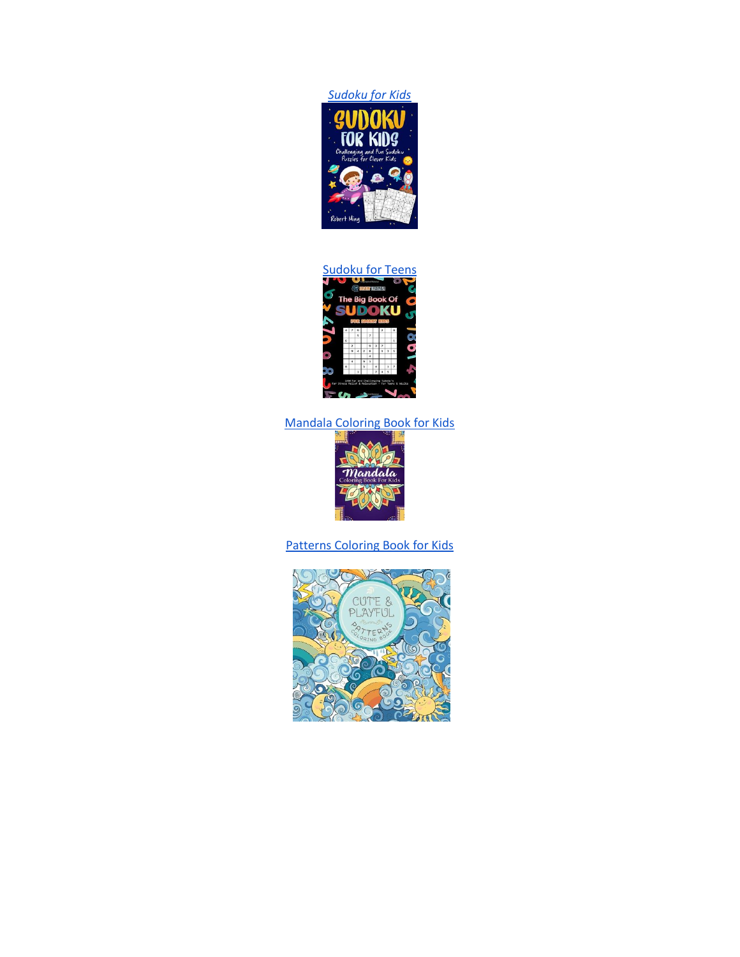



## [Mandala Coloring Book for Kids](https://www.amazon.com/Mandala-Coloring-Book-Kids-Relaxation/dp/1548435570/ref=sr_1_1?dchild=1&keywords=kids+color+meditation&qid=1590755873&sr=8-1)



## [Patterns Coloring Book for Kids](https://www.amazon.com/Cute-Playful-Patterns-Coloring-Book/dp/1989387136/ref=sr_1_28?dchild=1&keywords=kids+stress+relief+coloring&qid=1590756815&sr=8-28)